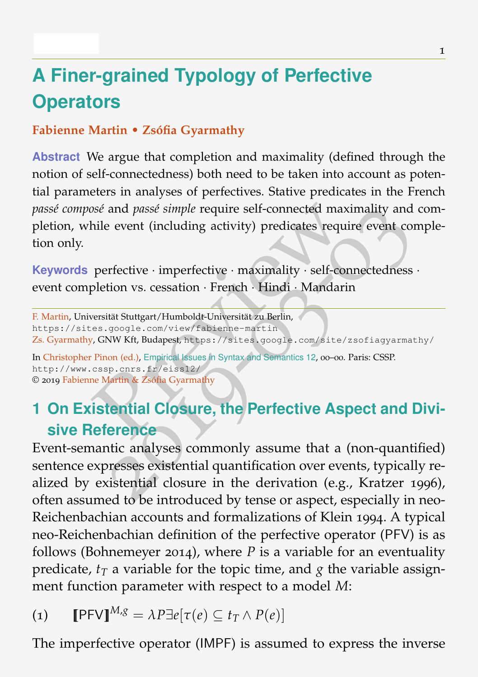# **A Finer-grained Typology of Perfective Operators**

### **Fabienne Martin • Zsófia Gyarmathy**

**Abstract** We argue that completion and maximality (defined through the notion of self-connectedness) both need to be taken into account as potential parameters in analyses of perfectives. Stative predicates in the French *passé composé* and *passé simple* require self-connected maximality and completion, while event (including activity) predicates require event completion only.

**Keywords** perfective · imperfective · maximality · self-connectedness · event completion vs. cessation · French · Hindi · Mandarin

F. Martin, Universität Stuttgart/Humboldt-Universität zu Berlin, https://sites.google.com/view/fabienne-martin Zs. Gyarmathy, GNW Kft, Budapest, https://sites.google.com/site/zsofiagyarmathy/

In Christopher Pinon (ed.), Empirical Issues in Syntax and Semantics 12, 00-00. Paris: CSSP. http://www.cssp.cnrs.fr/eiss12/ © 2019 Fabienne Martin & Zsófia Gyarmathy

# **1 On Existential Closure, the Perfective Aspect and Divisive Reference**

Social and passé simple require self-connected maximality and while event (including activity) predicates require event connectedness expletion vs. cessation · French · Hindi · Mandarin versität Stuttgart/Humboldt-Universi Event-semantic analyses commonly assume that a (non-quantified) sentence expresses existential quantification over events, typically realized by existential closure in the derivation (e.g., Kratzer 1996), often assumed to be introduced by tense or aspect, especially in neo-Reichenbachian accounts and formalizations of Klein 1994. A typical neo-Reichenbachian definition of the perfective operator (PFV) is as follows (Bohnemeyer 2014), where  $P$  is a variable for an eventuality predicate*, t<sub>T</sub>* a variable for the topic time, and  $g$  the variable assignment function parameter with respect to a model *M*:

$$
(1) \qquad \llbracket \mathsf{P}\mathsf{F}\mathsf{V}\rrbracket^{M,g} = \lambda P \exists e[\tau(e) \subseteq t_T \land P(e)]
$$

The imperfective operator (IMPF) is assumed to express the inverse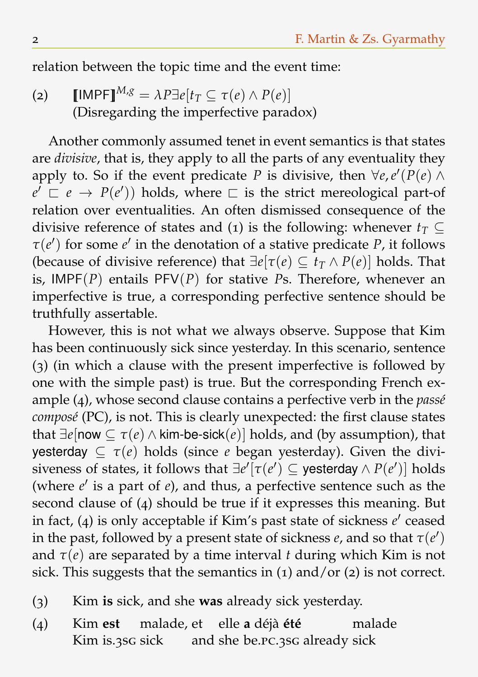relation between the topic time and the event time:

(2)  $[\text{IMPF}]^{M,g} = \lambda P \exists e[t_T \subseteq \tau(e) \land P(e)]$ (Disregarding the imperfective paradox)

Another commonly assumed tenet in event semantics is that states are *divisive*, that is, they apply to all the parts of any eventuality they apply to. So if the event predicate *P* is divisive, then  $\forall e, e' (P(e) \land$  $e' \nightharpoonup e \rightarrow P(e')$  holds, where  $\sqsubset$  is the strict mereological part-of relation over eventualities. An often dismissed consequence of the divisive reference of states and (1) is the following: whenever  $t_T \subseteq$  $\tau$ (*e*') for some *e*' in the denotation of a stative predicate *P*, it follows (because of divisive reference) that  $\exists e[\tau(e) \subseteq t_{\tau} \land P(e)]$  holds. That is, IMPF(*P*) entails PFV(*P*) for stative *P*s. Therefore, whenever an imperfective is true, a corresponding perfective sentence should be truthfully assertable.

However, this is not what we always observe. Suppose that Kim has been continuously sick since yesterday. In this scenario, sentence (3) (in which a clause with the present imperfective is followed by one with the simple past) is true. But the corresponding French example (4), whose second clause contains a perfective verb in the *passé composé* (PC), is not. This is clearly unexpected: the first clause states that  $\exists e$ [now  $\subseteq \tau(e) \land \text{kim-be-sick}(e)$ ] holds, and (by assumption), that yesterday  $\subseteq \tau(e)$  holds (since *e* began yesterday). Given the divi- $\mathsf{siveness}\; \text{of \; states, it follows that} \; \exists e' [\tau(e') \subseteq \mathsf{yesterday} \land P(e')] \; \text{holds}$ (where  $e'$  is a part of  $e$ ), and thus, a perfective sentence such as the second clause of (4) should be true if it expresses this meaning. But in fact, (4) is only acceptable if Kim's past state of sickness  $e'$  ceased in the past, followed by a present state of sickness  $e$ , and so that  $\tau(e')$ and  $\tau(e)$  are separated by a time interval *t* during which Kim is not sick. This suggests that the semantics in (1) and/or (2) is not correct.

- (3) Kim **is** sick, and she **was** already sick yesterday.
- (4) Kim **est** malade, et elle **a** déjà **été** Kim is.3sg sick and she be.PC.3sG already sick malade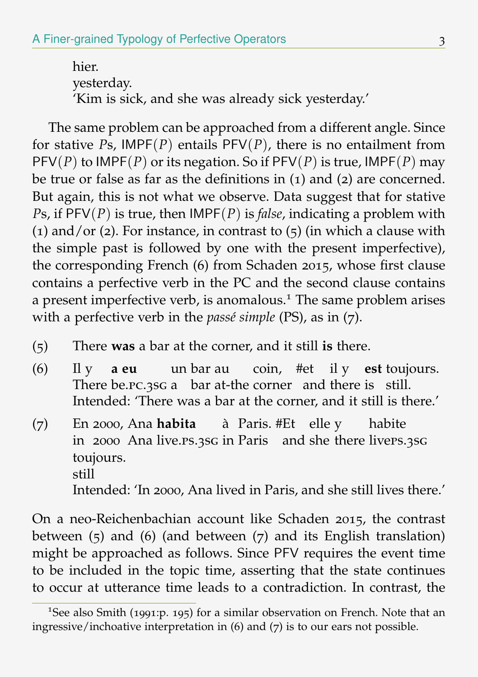hier. yesterday. 'Kim is sick, and she was already sick yesterday.'

The same problem can be approached from a different angle. Since for stative *P*s, IMPF(*P*) entails PFV(*P*), there is no entailment from PFV(*P*) to IMPF(*P*) or its negation. So if PFV(*P*) is true, IMPF(*P*) may be true or false as far as the definitions in (1) and (2) are concerned. But again, this is not what we observe. Data suggest that for stative *P*s, if PFV(*P*) is true, then IMPF(*P*) is *false*, indicating a problem with (1) and/or (2). For instance, in contrast to  $(5)$  (in which a clause with the simple past is followed by one with the present imperfective), the corresponding French (6) from Schaden 2015, whose first clause contains a perfective verb in the PC and the second clause contains a present imperfective verb, is anomalous.<sup>1</sup> The same problem arises with a perfective verb in the *passé simple* (PS), as in (7).

- (5) There **was** a bar at the corner, and it still **is** there.
- (6) Il y **a eu** There be.pc.3sG a bar at-the corner and there is still. un bar au coin, #et il y **est** toujours. Intended: 'There was a bar at the corner, and it still is there.'
- $(7)$ in 2000 Ana live.ps.3sg in Paris and she there liveps.3sg 2000, Ana **habita** à Paris. #Et elle y habite toujours. still Intended: 'In 2000, Ana lived in Paris, and she still lives there.'

On a neo-Reichenbachian account like Schaden 2015, the contrast between (5) and (6) (and between (7) and its English translation) might be approached as follows. Since PFV requires the event time to be included in the topic time, asserting that the state continues to occur at utterance time leads to a contradiction. In contrast, the

<sup>&</sup>lt;sup>1</sup>See also Smith (1991:p. 195) for a similar observation on French. Note that an ingressive/inchoative interpretation in (6) and (7) is to our ears not possible.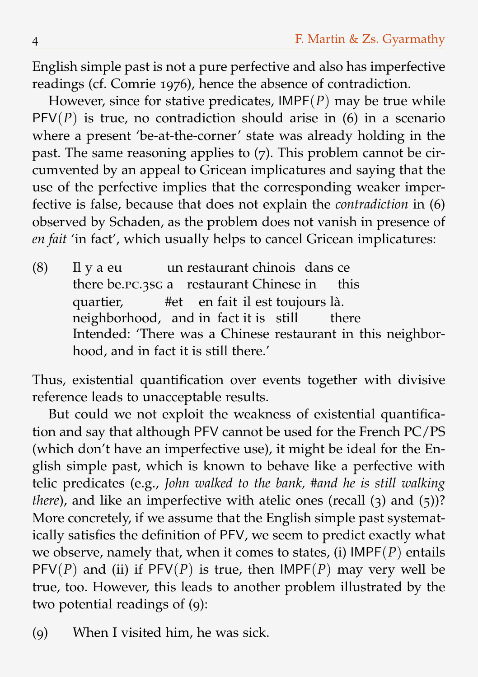English simple past is not a pure perfective and also has imperfective readings (cf. Comrie 1976), hence the absence of contradiction.

However, since for stative predicates, IMPF(*P*) may be true while  $PFV(P)$  is true, no contradiction should arise in (6) in a scenario where a present 'be-at-the-corner' state was already holding in the past. The same reasoning applies to (7). This problem cannot be circumvented by an appeal to Gricean implicatures and saying that the use of the perfective implies that the corresponding weaker imperfective is false, because that does not explain the *contradiction* in (6) observed by Schaden, as the problem does not vanish in presence of *en fait* 'in fact', which usually helps to cancel Gricean implicatures:

(8) Il y a eu there be.PC.3SG a restaurant Chinese in un restaurant chinois dans ce this quartier, neighborhood, and in fact it is still #et en fait il est toujours là. there Intended: 'There was a Chinese restaurant in this neighborhood, and in fact it is still there.'

Thus, existential quantification over events together with divisive reference leads to unacceptable results.

But could we not exploit the weakness of existential quantification and say that although PFV cannot be used for the French PC/PS (which don't have an imperfective use), it might be ideal for the English simple past, which is known to behave like a perfective with telic predicates (e.g., *John walked to the bank, #and he is still walking there*), and like an imperfective with atelic ones (recall (3) and (5))? More concretely, if we assume that the English simple past systematically satisfies the definition of PFV, we seem to predict exactly what we observe, namely that, when it comes to states, (i) IMPF(*P*) entails  $PFV(P)$  and (ii) if  $PFV(P)$  is true, then  $IMPF(P)$  may very well be true, too. However, this leads to another problem illustrated by the two potential readings of (9):

<sup>(</sup>9) When I visited him, he was sick.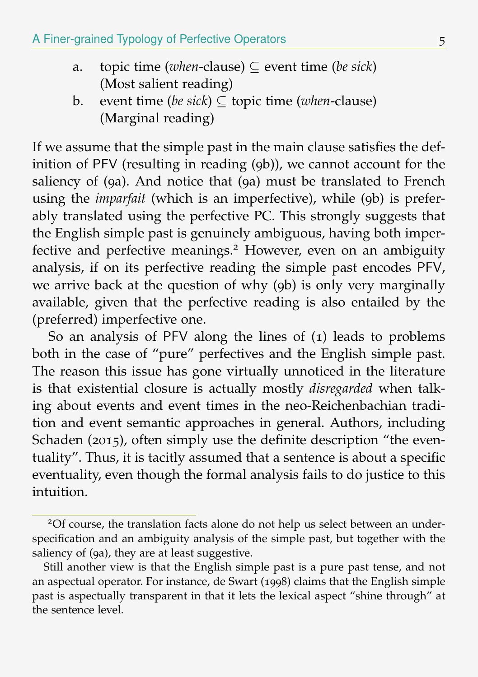- a. topic time (*when*-clause)  $\subseteq$  event time (*be sick*) (Most salient reading)
- b. event time (*be sick*) ⊆ topic time (*when*-clause) (Marginal reading)

If we assume that the simple past in the main clause satisfies the definition of PFV (resulting in reading (9b)), we cannot account for the saliency of (9a). And notice that (9a) must be translated to French using the *imparfait* (which is an imperfective), while (9b) is preferably translated using the perfective PC. This strongly suggests that the English simple past is genuinely ambiguous, having both imperfective and perfective meanings.<sup>2</sup> However, even on an ambiguity analysis, if on its perfective reading the simple past encodes PFV, we arrive back at the question of why (9b) is only very marginally available, given that the perfective reading is also entailed by the (preferred) imperfective one.

So an analysis of PFV along the lines of (1) leads to problems both in the case of "pure" perfectives and the English simple past. The reason this issue has gone virtually unnoticed in the literature is that existential closure is actually mostly *disregarded* when talking about events and event times in the neo-Reichenbachian tradition and event semantic approaches in general. Authors, including Schaden (2015), often simply use the definite description "the eventuality". Thus, it is tacitly assumed that a sentence is about a specific eventuality, even though the formal analysis fails to do justice to this intuition

<sup>2</sup>Of course, the translation facts alone do not help us select between an underspecification and an ambiguity analysis of the simple past, but together with the saliency of (9a), they are at least suggestive.

Still another view is that the English simple past is a pure past tense, and not an aspectual operator. For instance, de Swart (1998) claims that the English simple past is aspectually transparent in that it lets the lexical aspect "shine through" at the sentence level.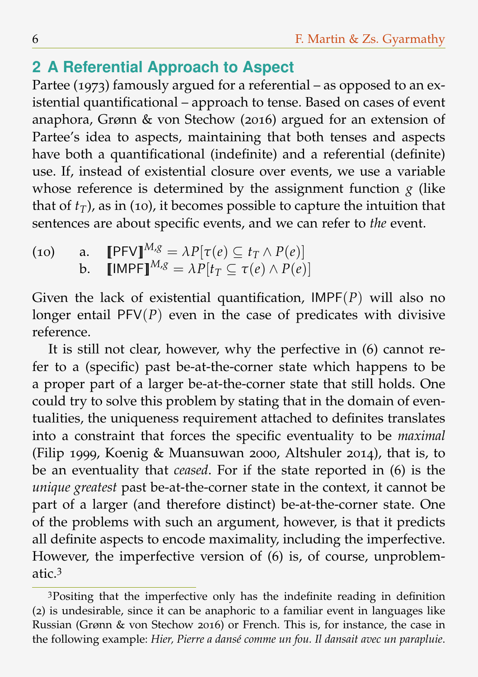# **2 A Referential Approach to Aspect**

Partee (1973) famously argued for a referential – as opposed to an existential quantificational – approach to tense. Based on cases of event anaphora, Grønn & von Stechow (2016) argued for an extension of Partee's idea to aspects, maintaining that both tenses and aspects have both a quantificational (indefinite) and a referential (definite) use. If, instead of existential closure over events, we use a variable whose reference is determined by the assignment function  $g$  (like that of  $t_T$ ), as in (10), it becomes possible to capture the intuition that sentences are about specific events, and we can refer to *the* event.

(10) a.  $\llbracket \text{PFVI}^{M,g} = \lambda P[\tau(e) \subset t_T \wedge P(e)]$ b.  $\llbracket \text{IMPF} \rrbracket^{M,g} = \lambda P[t_T \subseteq \tau(e) \land P(e)]$ 

Given the lack of existential quantification, IMPF(*P*) will also no longer entail  $PFV(P)$  even in the case of predicates with divisive reference.

It is still not clear, however, why the perfective in (6) cannot refer to a (specific) past be-at-the-corner state which happens to be a proper part of a larger be-at-the-corner state that still holds. One could try to solve this problem by stating that in the domain of eventualities, the uniqueness requirement attached to definites translates into a constraint that forces the specific eventuality to be *maximal* (Filip 1999, Koenig & Muansuwan 2000, Altshuler 2014), that is, to be an eventuality that *ceased*. For if the state reported in (6) is the *unique greatest* past be-at-the-corner state in the context, it cannot be part of a larger (and therefore distinct) be-at-the-corner state. One of the problems with such an argument, however, is that it predicts all definite aspects to encode maximality, including the imperfective. However, the imperfective version of (6) is, of course, unproblematic  $3$ 

<sup>3</sup>Positing that the imperfective only has the indefinite reading in definition (2) is undesirable, since it can be anaphoric to a familiar event in languages like Russian (Grønn & von Stechow 2016) or French. This is, for instance, the case in the following example: *Hier, Pierre a dansé comme un fou. Il dansait avec un parapluie*.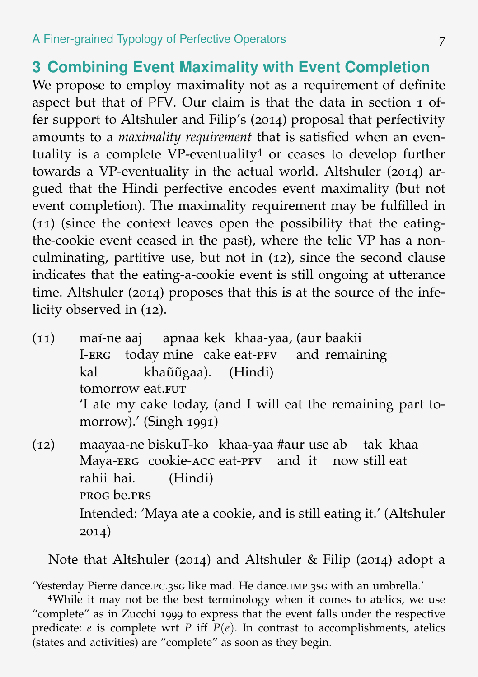# **3 Combining Event Maximality with Event Completion**

We propose to employ maximality not as a requirement of definite aspect but that of PFV. Our claim is that the data in section 1 offer support to Altshuler and Filip's (2014) proposal that perfectivity amounts to a *maximality requirement* that is satisfied when an eventuality is a complete VP-eventuality<sup>4</sup> or ceases to develop further towards a VP-eventuality in the actual world. Altshuler (2014) argued that the Hindi perfective encodes event maximality (but not event completion). The maximality requirement may be fulfilled in (11) (since the context leaves open the possibility that the eatingthe-cookie event ceased in the past), where the telic VP has a nonculminating, partitive use, but not in (12), since the second clause indicates that the eating-a-cookie event is still ongoing at utterance time. Altshuler (2014) proposes that this is at the source of the infelicity observed in (12).

- (11) mai-ne aaj apnaa kek khaa-yaa, (aur baakii I-erg today mine cake eat-PFV and remaining kal tomorrow eat.FUT khaũũgaa). (Hindi) 'I ate my cake today, (and I will eat the remaining part tomorrow).' (Singh 1991) (12) maayaa-ne biskuT-ko khaa-yaa #aur use ab tak khaa
- Maya-ERG cookie-ACC eat-PFV and it now still eat rahii hai. prog be.prs (Hindi) Intended: 'Maya ate a cookie, and is still eating it.' (Altshuler 2014)

Note that Altshuler (2014) and Altshuler & Filip (2014) adopt a

<sup>&#</sup>x27;Yesterday Pierre dance.pc.3sg like mad. He dance.imp.3sg with an umbrella.'

<sup>4</sup>While it may not be the best terminology when it comes to atelics, we use "complete" as in Zucchi 1999 to express that the event falls under the respective predicate:  $e$  is complete wrt  $P$  iff  $P(e)$ . In contrast to accomplishments, atelics (states and activities) are "complete" as soon as they begin.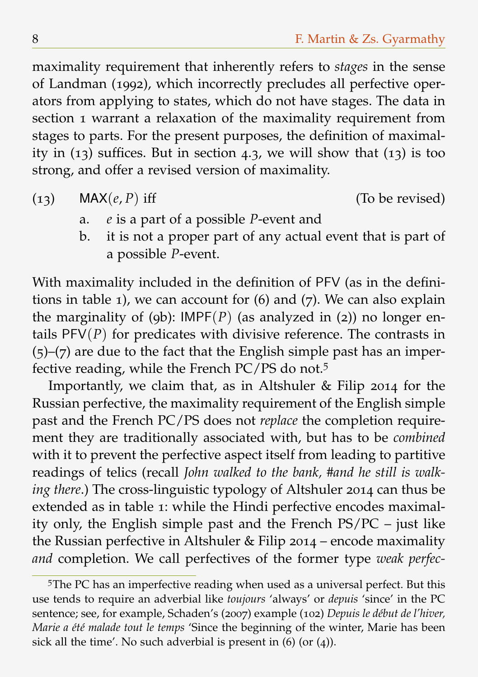maximality requirement that inherently refers to *stages* in the sense of Landman (1992), which incorrectly precludes all perfective operators from applying to states, which do not have stages. The data in section 1 warrant a relaxation of the maximality requirement from stages to parts. For the present purposes, the definition of maximality in  $(13)$  suffices. But in section 4.3, we will show that  $(13)$  is too strong, and offer a revised version of maximality.

(13) MAX $(e, P)$  iff (To be revised)

- a. *e* is a part of a possible *P*-event and
- b. it is not a proper part of any actual event that is part of a possible *P*-event.

With maximality included in the definition of PFV (as in the definitions in table 1), we can account for (6) and (7). We can also explain the marginality of (9b):  $IMPF(P)$  (as analyzed in (2)) no longer entails  $PFV(P)$  for predicates with divisive reference. The contrasts in  $(5)-(7)$  are due to the fact that the English simple past has an imperfective reading, while the French PC/PS do not.<sup>5</sup>

Importantly, we claim that, as in Altshuler & Filip 2014 for the Russian perfective, the maximality requirement of the English simple past and the French PC/PS does not *replace* the completion requirement they are traditionally associated with, but has to be *combined* with it to prevent the perfective aspect itself from leading to partitive readings of telics (recall *John walked to the bank, #and he still is walking there*.) The cross-linguistic typology of Altshuler 2014 can thus be extended as in table 1: while the Hindi perfective encodes maximality only, the English simple past and the French PS/PC – just like the Russian perfective in Altshuler & Filip 2014 – encode maximality *and* completion. We call perfectives of the former type *weak perfec-*

<sup>5</sup>The PC has an imperfective reading when used as a universal perfect. But this use tends to require an adverbial like *toujours* 'always' or *depuis* 'since' in the PC sentence; see, for example, Schaden's (2007) example (102) *Depuis le début de l'hiver, Marie a été malade tout le temps* 'Since the beginning of the winter, Marie has been sick all the time'. No such adverbial is present in  $(6)$  (or  $(4)$ ).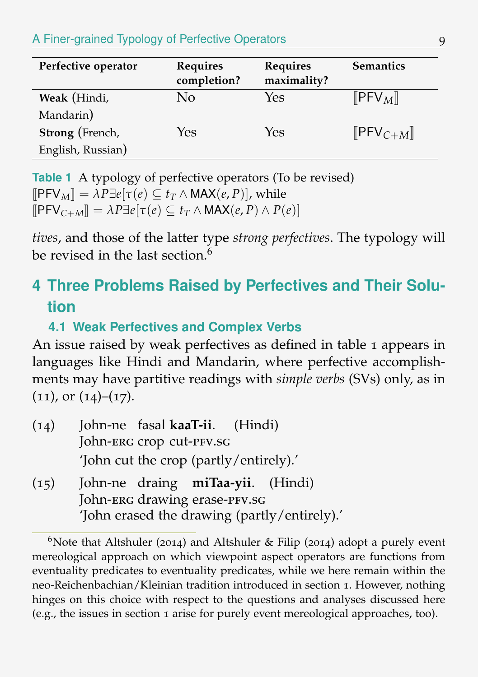#### A Finer-grained Typology of Perfective Operators 9

| Perfective operator | Requires<br>completion? | Requires<br>maximality? | <b>Semantics</b>                           |
|---------------------|-------------------------|-------------------------|--------------------------------------------|
| Weak (Hindi,        | No                      | Yes                     | $\llbracket$ PFV <sub>M</sub> $\rrbracket$ |
| Mandarin)           |                         |                         |                                            |
| Strong (French,     | Yes                     | Yes                     | $[$ PFV $_{C+M}$ ]                         |
| English, Russian)   |                         |                         |                                            |

**Table 1** A typology of perfective operators (To be revised)  $[$ **PFV**<sub>M</sub> $] = \lambda P \exists e[\tau(e) \subseteq t_T \land \text{MAX}(e, P)]$ , while  $[$ **PFV**<sub>C+M</sub> $] = \lambda P \exists e[\tau(e) \subseteq t_T \land \text{MAX}(e, P) \land P(e)]$ 

*tives*, and those of the latter type *strong perfectives*. The typology will be revised in the last section  $^6$ 

# **4 Three Problems Raised by Perfectives and Their Solution**

## **4.1 Weak Perfectives and Complex Verbs**

An issue raised by weak perfectives as defined in table 1 appears in languages like Hindi and Mandarin, where perfective accomplishments may have partitive readings with *simple verbs* (SVs) only, as in  $(11)$ , or  $(14)$ – $(17)$ .

| (14) | John-ne fasal kaaT-ii. (Hindi)               |  |  |  |  |
|------|----------------------------------------------|--|--|--|--|
|      | John-ERG crop cut-PFV.SG                     |  |  |  |  |
|      | 'John cut the crop (partly/entirely).'       |  |  |  |  |
| (15) | John-ne draing miTaa-yii. (Hindi)            |  |  |  |  |
|      | John-ERG drawing erase-PFV.SG                |  |  |  |  |
|      | 'John erased the drawing (partly/entirely).' |  |  |  |  |

<sup>&</sup>lt;sup>6</sup>Note that Altshuler (2014) and Altshuler & Filip (2014) adopt a purely event mereological approach on which viewpoint aspect operators are functions from eventuality predicates to eventuality predicates, while we here remain within the neo-Reichenbachian/Kleinian tradition introduced in section 1. However, nothing hinges on this choice with respect to the questions and analyses discussed here (e.g., the issues in section 1 arise for purely event mereological approaches, too).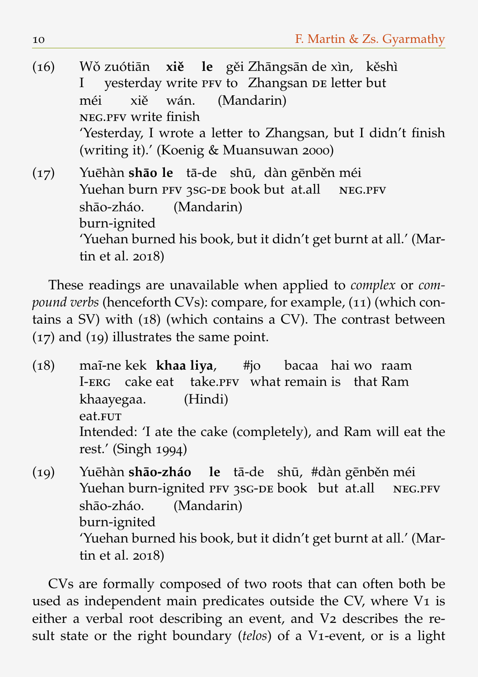(16) Wǒ zuótiān xiě le gěi Zhāngsān de xìn, kěshì I yesterday write PFV to Zhangsan DE letter but méi NEG.PFV write finish xiě wán. (Mandarin) 'Yesterday, I wrote a letter to Zhangsan, but I didn't finish (writing it).' (Koenig & Muansuwan 2000)

(17) Yuēhàn sh**āo le** tā-de shū, dàn gēnběn méi Yuehan burn PFV 3SG-DE book but at.all NEG.PFV shāo-zháo. burn-ignited (Mandarin) 'Yuehan burned his book, but it didn't get burnt at all.' (Martin et al. 2018)

These readings are unavailable when applied to *complex* or *compound verbs* (henceforth CVs): compare, for example, (11) (which contains a SV) with (18) (which contains a CV). The contrast between (17) and (19) illustrates the same point.

(18) ma˜ı-ne kek **khaa liya**,  $I$ -er $c$ cake eat take. PFV what remain is that Ram #jo bacaa hai wo raam khaayegaa. eat.FUT (Hindi) Intended: 'I ate the cake (completely), and Ram will eat the rest.' (Singh 1994)

(19) Yuehàn ¯ **shao-zháo ¯** Yuehan burn-ignited PFV 3SG-DE book but at.all **le** tā-de shū, #dàn gēnběn méi neg.pfv shāo-zháo. burn-ignited (Mandarin) 'Yuehan burned his book, but it didn't get burnt at all.' (Martin et al. 2018)

CVs are formally composed of two roots that can often both be used as independent main predicates outside the CV, where V1 is either a verbal root describing an event, and V2 describes the result state or the right boundary (*telos*) of a V1-event, or is a light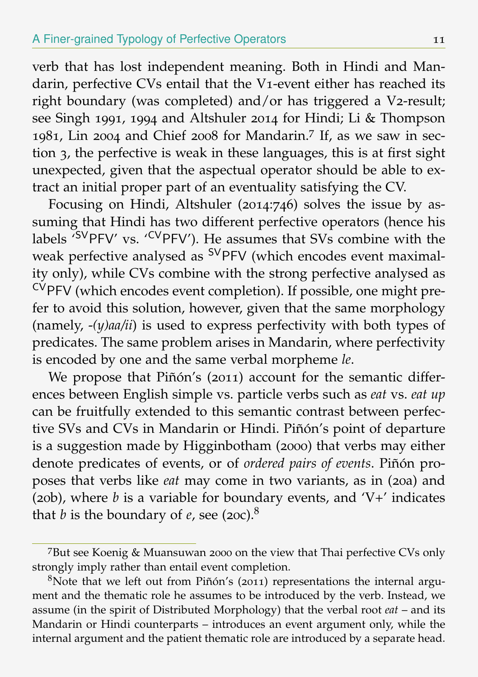verb that has lost independent meaning. Both in Hindi and Mandarin, perfective CVs entail that the V1-event either has reached its right boundary (was completed) and/or has triggered a V2-result; see Singh 1991, 1994 and Altshuler 2014 for Hindi; Li & Thompson 1981, Lin 2004 and Chief 2008 for Mandarin.<sup>7</sup> If, as we saw in section 3, the perfective is weak in these languages, this is at first sight unexpected, given that the aspectual operator should be able to extract an initial proper part of an eventuality satisfying the CV.

Focusing on Hindi, Altshuler (2014:746) solves the issue by assuming that Hindi has two different perfective operators (hence his labels <sup>'SV</sup>PFV' vs. '<sup>CV</sup>PFV'). He assumes that SVs combine with the weak perfective analysed as <sup>SV</sup>PFV (which encodes event maximality only), while CVs combine with the strong perfective analysed as CVPFV (which encodes event completion). If possible, one might prefer to avoid this solution, however, given that the same morphology (namely, -*(y)aa/ii*) is used to express perfectivity with both types of predicates. The same problem arises in Mandarin, where perfectivity is encoded by one and the same verbal morpheme *le*.

We propose that Piñón's (2011) account for the semantic differences between English simple vs. particle verbs such as *eat* vs. *eat up* can be fruitfully extended to this semantic contrast between perfective SVs and CVs in Mandarin or Hindi. Piñón's point of departure is a suggestion made by Higginbotham (2000) that verbs may either denote predicates of events, or of *ordered pairs of events*. Piñón proposes that verbs like *eat* may come in two variants, as in (20a) and (20b), where *b* is a variable for boundary events, and 'V+' indicates that *b* is the boundary of *e*, see (20c).<sup>8</sup>

<sup>7</sup>But see Koenig & Muansuwan 2000 on the view that Thai perfective CVs only strongly imply rather than entail event completion.

 $8$ Note that we left out from Piñón's (2011) representations the internal argument and the thematic role he assumes to be introduced by the verb. Instead, we assume (in the spirit of Distributed Morphology) that the verbal root *eat* – and its Mandarin or Hindi counterparts – introduces an event argument only, while the internal argument and the patient thematic role are introduced by a separate head.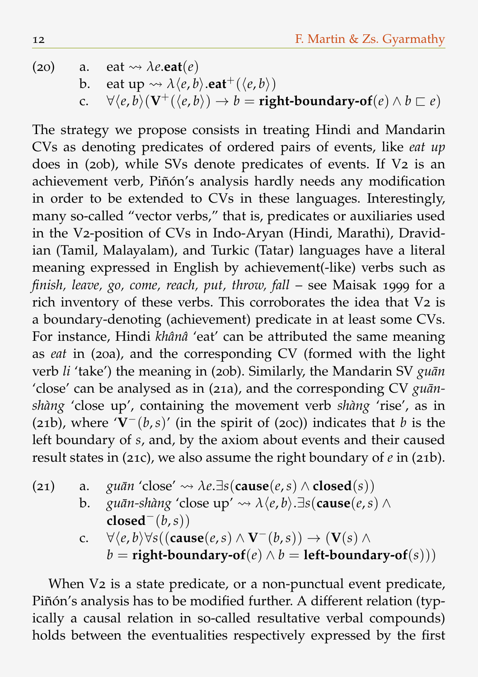(20) a. eat  $\rightsquigarrow \lambda e.\text{eat}(e)$ b. eat up  $\rightsquigarrow \lambda \langle e, b \rangle$ **.eat**<sup>+</sup>( $\langle e, b \rangle$ ) c.  $\forall \langle e, \overline{b} \rangle (\mathbf{V}^+ (\langle e, b \rangle) \rightarrow b = \text{right-boundary-of}(e) \land b \sqsubset e)$ 

The strategy we propose consists in treating Hindi and Mandarin CVs as denoting predicates of ordered pairs of events, like *eat up* does in (20b), while SVs denote predicates of events. If V2 is an achievement verb, Piñón's analysis hardly needs any modification in order to be extended to CVs in these languages. Interestingly, many so-called "vector verbs," that is, predicates or auxiliaries used in the V2-position of CVs in Indo-Aryan (Hindi, Marathi), Dravidian (Tamil, Malayalam), and Turkic (Tatar) languages have a literal meaning expressed in English by achievement(-like) verbs such as *finish, leave, go, come, reach, put, throw, fall* – see Maisak 1999 for a rich inventory of these verbs. This corroborates the idea that V2 is a boundary-denoting (achievement) predicate in at least some CVs. For instance, Hindi *khânâ* 'eat' can be attributed the same meaning as *eat* in (20a), and the corresponding CV (formed with the light verb *li* 'take') the meaning in (20b). Similarly, the Mandarin SV guan 'close' can be analysed as in (21a), and the corresponding CV *guan- ¯ shàng* 'close up', containing the movement verb *shàng* 'rise', as in (21b), where '**V**−(*b*,*s*)' (in the spirit of (20c)) indicates that *b* is the left boundary of *s*, and, by the axiom about events and their caused result states in (21c), we also assume the right boundary of *e* in (21b).

- (21) a. *guān* 'close'  $\rightsquigarrow$   $\lambda e.\exists s$ (cause(*e*,*s*)  $\wedge$  closed(*s*))
	- **b**. *guān-shàng* 'close up'  $\rightarrow \lambda \langle e, b \rangle$ .∃*s*(**cause**(*e*,*s*) ∧  $closed^{-}(b,s)$ 
		- c. ∀ $\langle e,b\rangle \forall s((\textbf{cause}(e,s) \land \mathbf{V}^-(b,s)) \rightarrow (\mathbf{V}(s) \land \mathbf{V}^-(b,s))$  $b =$ **right-boundary-of** $(e) \wedge b =$ **left-boundary-of** $(s)$ )

When V<sub>2</sub> is a state predicate, or a non-punctual event predicate, Piñón's analysis has to be modified further. A different relation (typically a causal relation in so-called resultative verbal compounds) holds between the eventualities respectively expressed by the first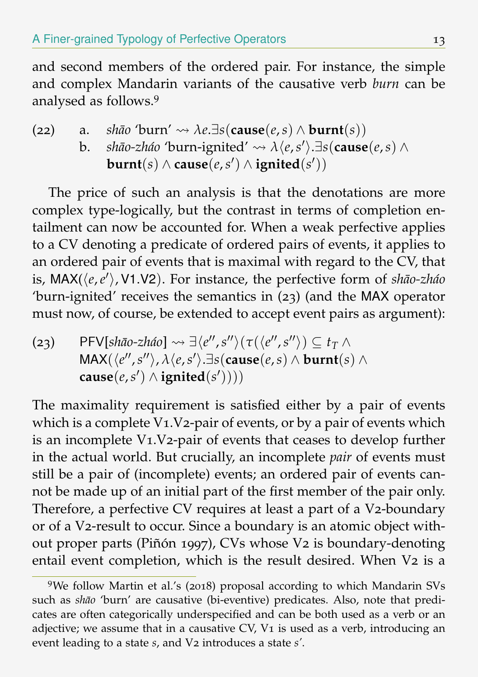and second members of the ordered pair. For instance, the simple and complex Mandarin variants of the causative verb *burn* can be analysed as follows.<sup>9</sup>

\n- (22) a. *shāo* 'burn' 
$$
\leadsto \lambda e
$$
.∃s(**cause**(*e*,*s*) ∧ **burnt**(*s*))
\n- b. *shāo-zhao* 'burn-ignited'  $\leadsto \lambda \langle e, s' \rangle$ .∃s(**cause**(*e*,*s*) ∧ **burnt**(*s*) ∧ **cause**(*e*,*s'*) ∧ **ignited**(*s'*))
\n

The price of such an analysis is that the denotations are more complex type-logically, but the contrast in terms of completion entailment can now be accounted for. When a weak perfective applies to a CV denoting a predicate of ordered pairs of events, it applies to an ordered pair of events that is maximal with regard to the CV, that is, MAX( $\langle e, e' \rangle$ , V1.V2). For instance, the perfective form of *shāo-zháo* 'burn-ignited' receives the semantics in (23) (and the MAX operator must now, of course, be extended to accept event pairs as argument):

 $(23)$  PFV[*shāo-zháo*]  $\leadsto \exists \langle e'', s'' \rangle (\tau(\langle e'', s'') \rangle \subseteq t_T \land$  $\mathsf{MAX}(\langle e'', s'' \rangle, \lambda \langle e, s' \rangle)$ . $\exists s(\textbf{cause}(e, s) \wedge \textbf{burnt}(s) \wedge \lambda)$  $\textbf{cause}(e, s') \land \textbf{ignited}(s'))))$ 

The maximality requirement is satisfied either by a pair of events which is a complete V1.V2-pair of events, or by a pair of events which is an incomplete V1.V2-pair of events that ceases to develop further in the actual world. But crucially, an incomplete *pair* of events must still be a pair of (incomplete) events; an ordered pair of events cannot be made up of an initial part of the first member of the pair only. Therefore, a perfective CV requires at least a part of a V2-boundary or of a V2-result to occur. Since a boundary is an atomic object without proper parts (Piñón 1997), CVs whose V2 is boundary-denoting entail event completion, which is the result desired. When V2 is a

<sup>9</sup>We follow Martin et al.'s (2018) proposal according to which Mandarin SVs such as *shāo* 'burn' are causative (bi-eventive) predicates. Also, note that predicates are often categorically underspecified and can be both used as a verb or an adjective; we assume that in a causative  $CV$ ,  $Vi$  is used as a verb, introducing an event leading to a state *s*, and V2 introduces a state *s'*.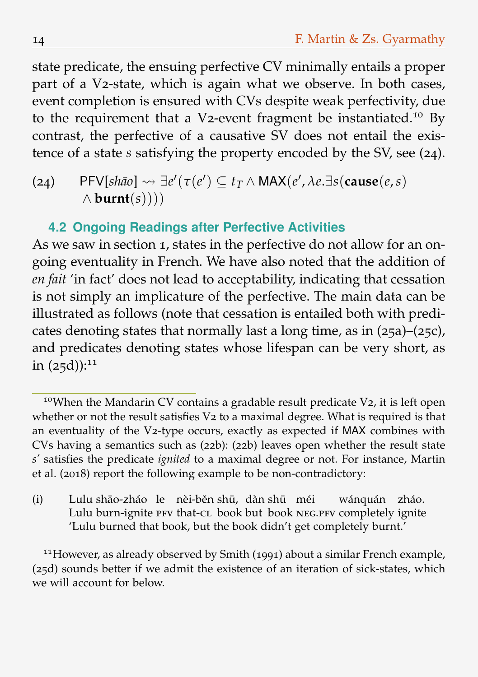state predicate, the ensuing perfective CV minimally entails a proper part of a V2-state, which is again what we observe. In both cases, event completion is ensured with CVs despite weak perfectivity, due to the requirement that a V2-event fragment be instantiated.<sup>10</sup> By contrast, the perfective of a causative SV does not entail the existence of a state *s* satisfying the property encoded by the SV, see (24).

 $P$ FV[*shāo*]  $\rightsquigarrow \exists e'(\tau(e') \subseteq t_T \land \text{MAX}(e', \lambda e. \exists s(\text{cause}(e, s))$ ∧ **burnt**(*s*))))

#### **4.2 Ongoing Readings after Perfective Activities**

As we saw in section 1, states in the perfective do not allow for an ongoing eventuality in French. We have also noted that the addition of *en fait* 'in fact' does not lead to acceptability, indicating that cessation is not simply an implicature of the perfective. The main data can be illustrated as follows (note that cessation is entailed both with predicates denoting states that normally last a long time, as in (25a)–(25c), and predicates denoting states whose lifespan can be very short, as in  $(25d)$ :<sup>11</sup>

(i) Lulu shāo-zháo le nèi-běn shū, dàn shū méi Lulu burn-ignite PFV that-CL book but book NEG.PFV completely ignite wánquán zháo. 'Lulu burned that book, but the book didn't get completely burnt.'

<sup>11</sup>However, as already observed by Smith (1991) about a similar French example, (25d) sounds better if we admit the existence of an iteration of sick-states, which we will account for below.

<sup>&</sup>lt;sup>10</sup>When the Mandarin CV contains a gradable result predicate V2, it is left open whether or not the result satisfies V2 to a maximal degree. What is required is that an eventuality of the V2-type occurs, exactly as expected if MAX combines with CVs having a semantics such as (22b): (22b) leaves open whether the result state *s'* satisfies the predicate *ignited* to a maximal degree or not. For instance, Martin et al. (2018) report the following example to be non-contradictory: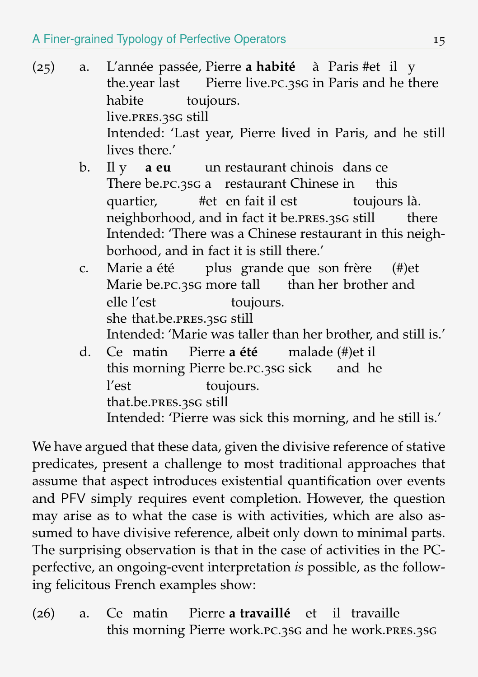- (25) a. L'année passée, Pierre **a habité** à Paris #et il y the.year last Pierre live.pc.3sg in Paris and he there habite live.pres.3sg still toujours. Intended: 'Last year, Pierre lived in Paris, and he still lives there.'
	- b. Il y **a eu** There be. PC. 3sG a restaurant Chinese in un restaurant chinois dans ce this quartier, neighborhood, and in fact it be.PRES.3SG still #et en fait il est toujours là. there Intended: 'There was a Chinese restaurant in this neighborhood, and in fact it is still there.'
	- c. Marie a été plus grande que son frère Marie be. PC. 3SG more tall than her brother and (#)et elle l'est she that.be.pres.3sg still toujours. Intended: 'Marie was taller than her brother, and still is.'
	- d. Ce matin Pierre **a été** this morning Pierre be.pc.3sg sick and he malade (#)et il l'est that.be.pres.3sg still toujours. Intended: 'Pierre was sick this morning, and he still is.'

We have argued that these data, given the divisive reference of stative predicates, present a challenge to most traditional approaches that assume that aspect introduces existential quantification over events and PFV simply requires event completion. However, the question may arise as to what the case is with activities, which are also assumed to have divisive reference, albeit only down to minimal parts. The surprising observation is that in the case of activities in the PCperfective, an ongoing-event interpretation *is* possible, as the following felicitous French examples show:

 $(26)$  a. this morning Pierre work.pc.3sg and he work.pres.3sgmatin Pierre **a travaillé** et il travaille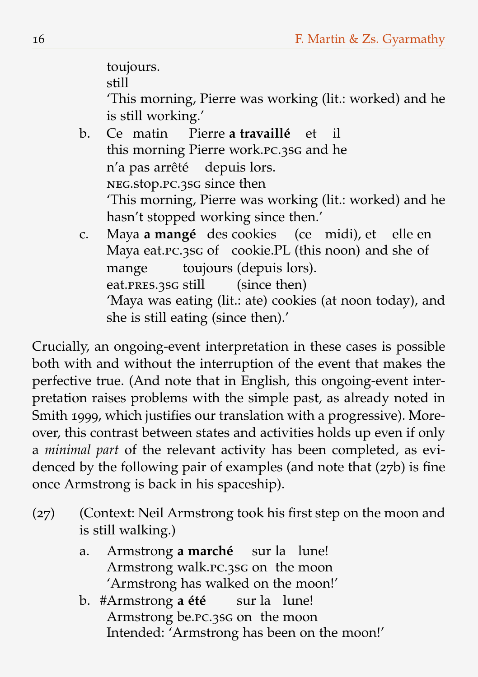toujours.

still

'This morning, Pierre was working (lit.: worked) and he is still working.'

- b. Ce matin Pierre **a travaillé** this morning Pierre work.pc.3sg and he et il n'a pas arrêté neg.stop.pc.3sg since then depuis lors. 'This morning, Pierre was working (lit.: worked) and he hasn't stopped working since then.'
- c. Maya **a mangé** des cookies (ce midi), et elle en Maya eat. PC. 3sG of cookie. PL (this noon) and she of mange eat.pres.3sg still toujours (depuis lors). (since then) 'Maya was eating (lit.: ate) cookies (at noon today), and she is still eating (since then).'

Crucially, an ongoing-event interpretation in these cases is possible both with and without the interruption of the event that makes the perfective true. (And note that in English, this ongoing-event interpretation raises problems with the simple past, as already noted in Smith 1999, which justifies our translation with a progressive). Moreover, this contrast between states and activities holds up even if only a *minimal part* of the relevant activity has been completed, as evidenced by the following pair of examples (and note that (27b) is fine once Armstrong is back in his spaceship).

- (27) (Context: Neil Armstrong took his first step on the moon and is still walking.)
	- a. Armstrong **a marché** sur la lune! Armstrong walk.pc.3sg on the moon 'Armstrong has walked on the moon!'
	- b. #Armstrong **a été** Armstrong be.pc.3sg on the moon sur la lune! Intended: 'Armstrong has been on the moon!'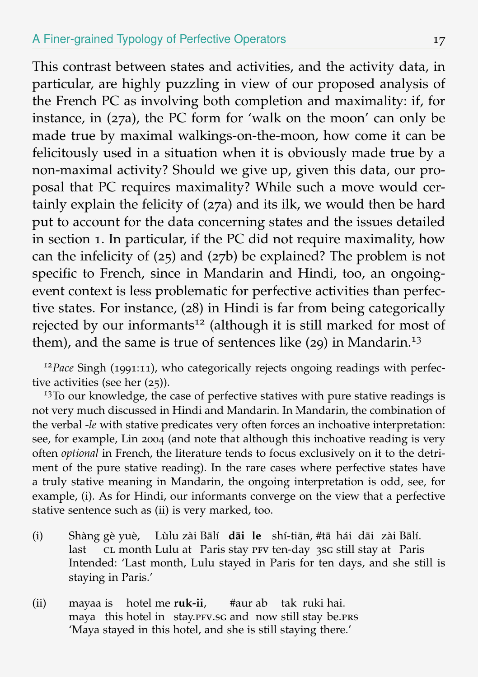This contrast between states and activities, and the activity data, in particular, are highly puzzling in view of our proposed analysis of the French PC as involving both completion and maximality: if, for instance, in (27a), the PC form for 'walk on the moon' can only be made true by maximal walkings-on-the-moon, how come it can be felicitously used in a situation when it is obviously made true by a non-maximal activity? Should we give up, given this data, our proposal that PC requires maximality? While such a move would certainly explain the felicity of (27a) and its ilk, we would then be hard put to account for the data concerning states and the issues detailed in section 1. In particular, if the PC did not require maximality, how can the infelicity of (25) and (27b) be explained? The problem is not specific to French, since in Mandarin and Hindi, too, an ongoingevent context is less problematic for perfective activities than perfective states. For instance, (28) in Hindi is far from being categorically rejected by our informants<sup>12</sup> (although it is still marked for most of them), and the same is true of sentences like  $(29)$  in Mandarin.<sup>13</sup>

- (i) Shàng gè yuè, Lùlu zài Bālí **dāi le** shí-tiān, #tā hái dāi zài Bālí. last cL month Lulu at Paris stay PFV ten-day 3sG still stay at Paris Intended: 'Last month, Lulu stayed in Paris for ten days, and she still is staying in Paris.'
- (ii) mayaa is hotel me **ruk-ii**, maya this hotel in stay.PFV.SG and now still stay be.PRS #aur ab tak ruki hai. 'Maya stayed in this hotel, and she is still staying there.'

<sup>&</sup>lt;sup>12</sup>*Pace* Singh (1991:11), who categorically rejects ongoing readings with perfective activities (see her (25)).

 $13$ To our knowledge, the case of perfective statives with pure stative readings is not very much discussed in Hindi and Mandarin. In Mandarin, the combination of the verbal *-le* with stative predicates very often forces an inchoative interpretation: see, for example, Lin 2004 (and note that although this inchoative reading is very often *optional* in French, the literature tends to focus exclusively on it to the detriment of the pure stative reading). In the rare cases where perfective states have a truly stative meaning in Mandarin, the ongoing interpretation is odd, see, for example, (i). As for Hindi, our informants converge on the view that a perfective stative sentence such as (ii) is very marked, too.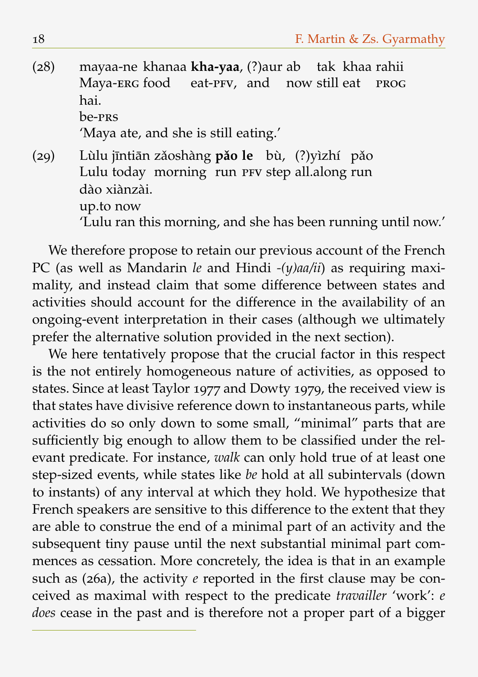- (28) mayaa-ne khanaa **kha-yaa**, (?)aur ab tak khaa rahii Maya-ERG food eat-PFV, and now still eat prog hai. be-prs 'Maya ate, and she is still eating.'
- (29) Lùlu jīntiān zǎoshàng **pǎo le** bù, (?)yìzhí pǎo Lulu today morning run PFV step all.along run dào xiànzài. up.to now 'Lulu ran this morning, and she has been running until now.'

We therefore propose to retain our previous account of the French PC (as well as Mandarin *le* and Hindi *-(y)aa/ii*) as requiring maximality, and instead claim that some difference between states and activities should account for the difference in the availability of an ongoing-event interpretation in their cases (although we ultimately prefer the alternative solution provided in the next section).

We here tentatively propose that the crucial factor in this respect is the not entirely homogeneous nature of activities, as opposed to states. Since at least Taylor 1977 and Dowty 1979, the received view is that states have divisive reference down to instantaneous parts, while activities do so only down to some small, "minimal" parts that are sufficiently big enough to allow them to be classified under the relevant predicate. For instance, *walk* can only hold true of at least one step-sized events, while states like *be* hold at all subintervals (down to instants) of any interval at which they hold. We hypothesize that French speakers are sensitive to this difference to the extent that they are able to construe the end of a minimal part of an activity and the subsequent tiny pause until the next substantial minimal part commences as cessation. More concretely, the idea is that in an example such as (26a), the activity *e* reported in the first clause may be conceived as maximal with respect to the predicate *travailler* 'work': *e does* cease in the past and is therefore not a proper part of a bigger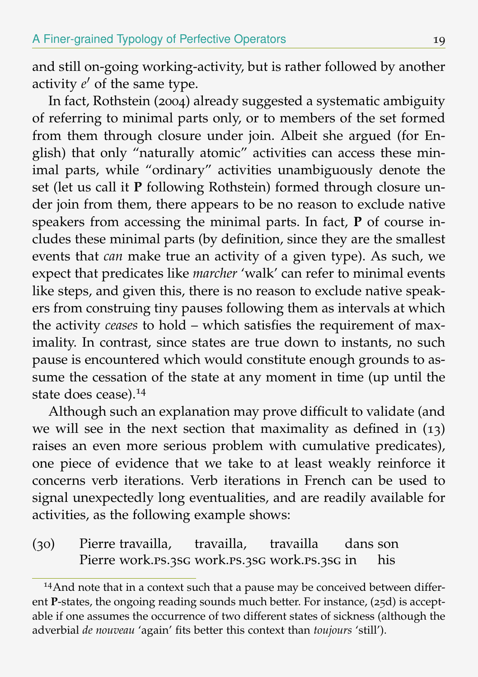and still on-going working-activity, but is rather followed by another activity  $e'$  of the same type.

In fact, Rothstein (2004) already suggested a systematic ambiguity of referring to minimal parts only, or to members of the set formed from them through closure under join. Albeit she argued (for English) that only "naturally atomic" activities can access these minimal parts, while "ordinary" activities unambiguously denote the set (let us call it **P** following Rothstein) formed through closure under join from them, there appears to be no reason to exclude native speakers from accessing the minimal parts. In fact, **P** of course includes these minimal parts (by definition, since they are the smallest events that *can* make true an activity of a given type). As such, we expect that predicates like *marcher* 'walk' can refer to minimal events like steps, and given this, there is no reason to exclude native speakers from construing tiny pauses following them as intervals at which the activity *ceases* to hold – which satisfies the requirement of maximality. In contrast, since states are true down to instants, no such pause is encountered which would constitute enough grounds to assume the cessation of the state at any moment in time (up until the state does cease).<sup>14</sup>

Although such an explanation may prove difficult to validate (and we will see in the next section that maximality as defined in (13) raises an even more serious problem with cumulative predicates), one piece of evidence that we take to at least weakly reinforce it concerns verb iterations. Verb iterations in French can be used to signal unexpectedly long eventualities, and are readily available for activities, as the following example shows:

(30) Pierre travailla, Pierre work.ps.3sg work.ps.3sg work.ps.3sg in travailla, travailla dans son his

<sup>&</sup>lt;sup>14</sup>And note that in a context such that a pause may be conceived between different **P**-states, the ongoing reading sounds much better. For instance, (25d) is acceptable if one assumes the occurrence of two different states of sickness (although the adverbial *de nouveau* 'again' fits better this context than *toujours* 'still').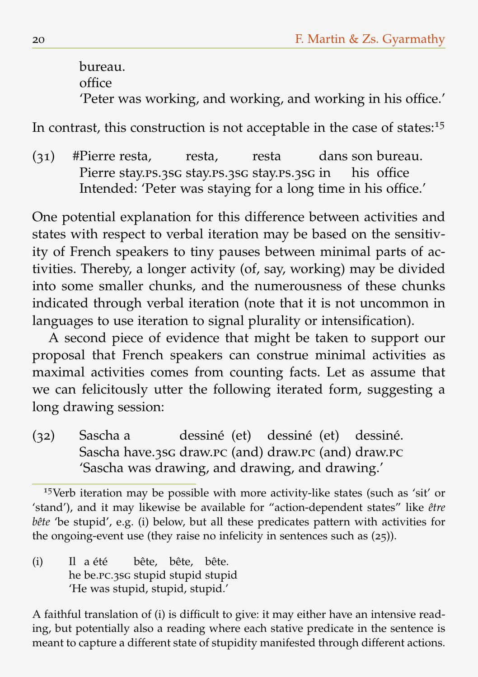bureau. office 'Peter was working, and working, and working in his office.'

In contrast, this construction is not acceptable in the case of states:<sup>15</sup>

(31) #Pierre resta, Pierre stay.ps.3sG stay.ps.3sG stay.ps.3sG in resta, resta dans son bureau. his office Intended: 'Peter was staying for a long time in his office.'

One potential explanation for this difference between activities and states with respect to verbal iteration may be based on the sensitivity of French speakers to tiny pauses between minimal parts of activities. Thereby, a longer activity (of, say, working) may be divided into some smaller chunks, and the numerousness of these chunks indicated through verbal iteration (note that it is not uncommon in languages to use iteration to signal plurality or intensification).

A second piece of evidence that might be taken to support our proposal that French speakers can construe minimal activities as maximal activities comes from counting facts. Let as assume that we can felicitously utter the following iterated form, suggesting a long drawing session:

(32) Sascha a Sascha have.3sg draw.pc (and) draw.pc (and) draw.pc dessiné (et) dessiné (et) dessiné. 'Sascha was drawing, and drawing, and drawing.'

<sup>15</sup>Verb iteration may be possible with more activity-like states (such as 'sit' or 'stand'), and it may likewise be available for "action-dependent states" like *être bête* 'be stupid', e.g. (i) below, but all these predicates pattern with activities for the ongoing-event use (they raise no infelicity in sentences such as (25)).

 $(i)$ he be.pc.3sg stupid stupid stupid  $\overline{\mathsf{II}}$  a été bête, bête, bête. 'He was stupid, stupid, stupid.'

A faithful translation of (i) is difficult to give: it may either have an intensive reading, but potentially also a reading where each stative predicate in the sentence is meant to capture a different state of stupidity manifested through different actions.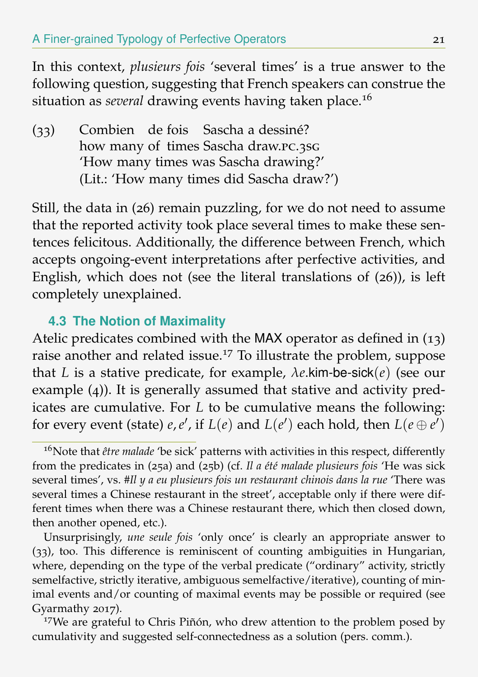In this context, *plusieurs fois* 'several times' is a true answer to the following question, suggesting that French speakers can construe the situation as *several* drawing events having taken place.<sup>16</sup>

(33) Combien de fois Sascha a dessiné? how many of times Sascha draw.pc.3sg 'How many times was Sascha drawing?' (Lit.: 'How many times did Sascha draw?')

Still, the data in (26) remain puzzling, for we do not need to assume that the reported activity took place several times to make these sentences felicitous. Additionally, the difference between French, which accepts ongoing-event interpretations after perfective activities, and English, which does not (see the literal translations of (26)), is left completely unexplained.

### **4.3 The Notion of Maximality**

Atelic predicates combined with the MAX operator as defined in (13) raise another and related issue.<sup>17</sup> To illustrate the problem, suppose that *L* is a stative predicate, for example, *λe*.kim-be-sick(*e*) (see our example (4)). It is generally assumed that stative and activity predicates are cumulative. For *L* to be cumulative means the following: for every event (state)  $e, e',$  if  $L(e)$  and  $L(e')$  each hold, then  $L(e \oplus e')$ 

Unsurprisingly, *une seule fois* 'only once' is clearly an appropriate answer to (33), too. This difference is reminiscent of counting ambiguities in Hungarian, where, depending on the type of the verbal predicate ("ordinary" activity, strictly semelfactive, strictly iterative, ambiguous semelfactive/iterative), counting of minimal events and/or counting of maximal events may be possible or required (see Gyarmathy 2017).

<sup>17</sup>We are grateful to Chris Piñón, who drew attention to the problem posed by cumulativity and suggested self-connectedness as a solution (pers. comm.).

<sup>&</sup>lt;sup>16</sup>Note that *être malade* 'be sick' patterns with activities in this respect, differently from the predicates in (25a) and (25b) (cf. *Il a été malade plusieurs fois* 'He was sick several times', vs. *#Il y a eu plusieurs fois un restaurant chinois dans la rue* 'There was several times a Chinese restaurant in the street', acceptable only if there were different times when there was a Chinese restaurant there, which then closed down, then another opened, etc.).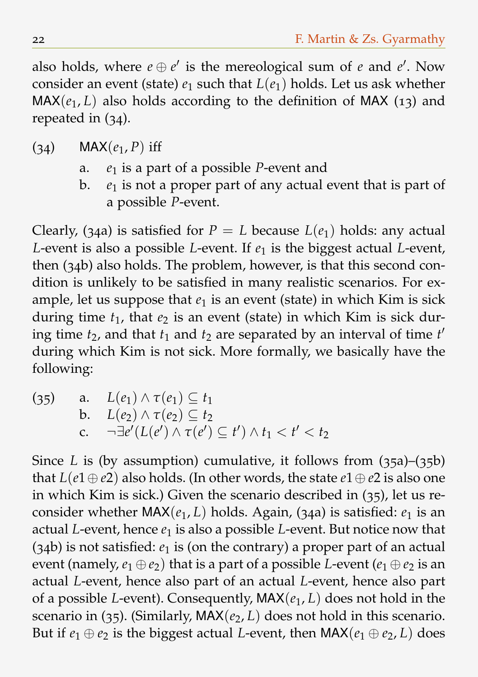also holds, where  $e \oplus e'$  is the mereological sum of  $e$  and  $e'$ . Now consider an event (state)  $e_1$  such that  $L(e_1)$  holds. Let us ask whether  $MAX(e_1, L)$  also holds according to the definition of MAX (13) and repeated in (34).

- $(34)$  MAX $(e_1, P)$  iff
	- a. *e*<sup>1</sup> is a part of a possible *P*-event and
	- b.  $e_1$  is not a proper part of any actual event that is part of a possible *P*-event.

Clearly, (34a) is satisfied for  $P = L$  because  $L(e_1)$  holds: any actual *L*-event is also a possible *L*-event. If  $e_1$  is the biggest actual *L*-event, then (34b) also holds. The problem, however, is that this second condition is unlikely to be satisfied in many realistic scenarios. For example, let us suppose that  $e_1$  is an event (state) in which Kim is sick during time  $t_1$ , that  $e_2$  is an event (state) in which Kim is sick during time  $t_2$ , and that  $t_1$  and  $t_2$  are separated by an interval of time  $t'$ during which Kim is not sick. More formally, we basically have the following:

(35) a.  $L(e_1) \wedge \tau(e_1) \subset t_1$ b.  $L(e_2) \wedge \tau(e_2) \subset t_2$ c.  $\neg \exists e' (L(e') \land \tau(e') \subseteq t') \land t_1 < t' < t_2$ 

Since *L* is (by assumption) cumulative, it follows from (35a)–(35b) that  $L(e_1 \oplus e_2)$  also holds. (In other words, the state  $e_1 \oplus e_2$  is also one in which Kim is sick.) Given the scenario described in (35), let us reconsider whether  $MAX(e_1, L)$  holds. Again, (34a) is satisfied:  $e_1$  is an actual *L*-event, hence *e*<sup>1</sup> is also a possible *L*-event. But notice now that (34b) is not satisfied: *e*<sup>1</sup> is (on the contrary) a proper part of an actual event (namely,  $e_1 \oplus e_2$ ) that is a part of a possible *L*-event ( $e_1 \oplus e_2$  is an actual *L*-event, hence also part of an actual *L*-event, hence also part of a possible *L*-event). Consequently, MAX(*e*1, *L*) does not hold in the scenario in (35). (Similarly,  $MAX(e_2, L)$  does not hold in this scenario. But if  $e_1 \oplus e_2$  is the biggest actual *L*-event, then  $MAX(e_1 \oplus e_2, L)$  does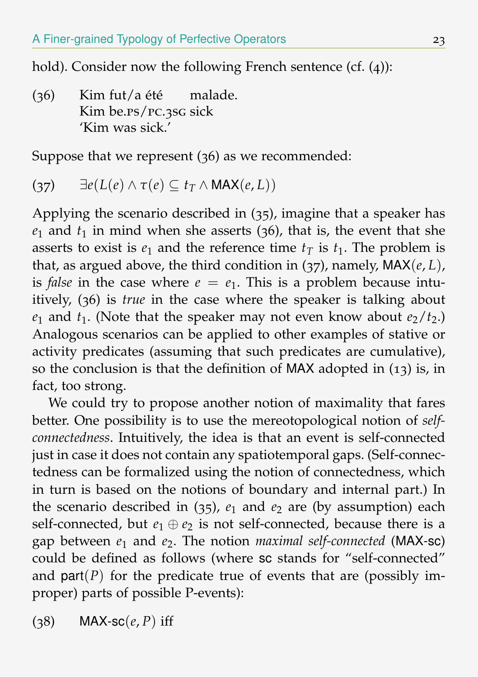hold). Consider now the following French sentence (cf. (4)):

 $(36)$ Kim be.ps/pc.3sg sick Kim fut/a été malade. 'Kim was sick.'

Suppose that we represent (36) as we recommended:

$$
(37) \qquad \exists e(L(e) \wedge \tau(e) \subseteq t_T \wedge \mathsf{MAX}(e, L))
$$

Applying the scenario described in (35), imagine that a speaker has  $e_1$  and  $t_1$  in mind when she asserts (36), that is, the event that she asserts to exist is  $e_1$  and the reference time  $t<sub>T</sub>$  is  $t<sub>1</sub>$ . The problem is that, as argued above, the third condition in (37), namely, MAX(*e*, *L*), is *false* in the case where  $e = e_1$ . This is a problem because intuitively, (36) is *true* in the case where the speaker is talking about  $e_1$  and  $t_1$ . (Note that the speaker may not even know about  $e_2/t_2$ .) Analogous scenarios can be applied to other examples of stative or activity predicates (assuming that such predicates are cumulative), so the conclusion is that the definition of MAX adopted in (13) is, in fact, too strong.

We could try to propose another notion of maximality that fares better. One possibility is to use the mereotopological notion of *selfconnectedness*. Intuitively, the idea is that an event is self-connected just in case it does not contain any spatiotemporal gaps. (Self-connectedness can be formalized using the notion of connectedness, which in turn is based on the notions of boundary and internal part.) In the scenario described in  $(35)$ ,  $e_1$  and  $e_2$  are (by assumption) each self-connected, but  $e_1 \oplus e_2$  is not self-connected, because there is a gap between *e*<sup>1</sup> and *e*2. The notion *maximal self-connected* (MAX-sc) could be defined as follows (where sc stands for "self-connected" and  $part(P)$  for the predicate true of events that are (possibly improper) parts of possible P-events):

 $(38)$  MAX-sc $(e, P)$  iff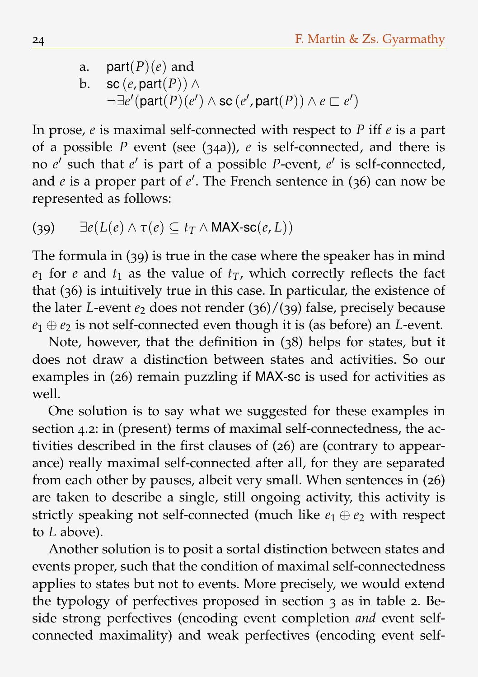a.  $part(P)(e)$  and b. sc  $(e, part(P)) \wedge$  $\neg \exists e'$ (part $(P)(e') \land \textsf{sc}(e', \textsf{part}(P)) \land e \sqsubset e'$ )

In prose, *e* is maximal self-connected with respect to *P* iff *e* is a part of a possible *P* event (see (34a)), *e* is self-connected, and there is no *e'* such that *e'* is part of a possible *P*-event, *e'* is self-connected, and *e* is a proper part of *e'*. The French sentence in (36) can now be represented as follows:

(39) 
$$
\exists e(L(e) \land \tau(e) \subseteq t_T \land \mathsf{MAX\text{-}sc}(e, L))
$$

The formula in (39) is true in the case where the speaker has in mind  $e_1$  for *e* and  $t_1$  as the value of  $t_T$ , which correctly reflects the fact that (36) is intuitively true in this case. In particular, the existence of the later *L*-event  $e_2$  does not render  $(36)/(39)$  false, precisely because  $e_1 \oplus e_2$  is not self-connected even though it is (as before) an *L*-event.

Note, however, that the definition in (38) helps for states, but it does not draw a distinction between states and activities. So our examples in (26) remain puzzling if MAX-sc is used for activities as well.

One solution is to say what we suggested for these examples in section 4.2: in (present) terms of maximal self-connectedness, the activities described in the first clauses of (26) are (contrary to appearance) really maximal self-connected after all, for they are separated from each other by pauses, albeit very small. When sentences in (26) are taken to describe a single, still ongoing activity, this activity is strictly speaking not self-connected (much like  $e_1 \oplus e_2$  with respect to *L* above).

Another solution is to posit a sortal distinction between states and events proper, such that the condition of maximal self-connectedness applies to states but not to events. More precisely, we would extend the typology of perfectives proposed in section 3 as in table 2. Beside strong perfectives (encoding event completion *and* event selfconnected maximality) and weak perfectives (encoding event self-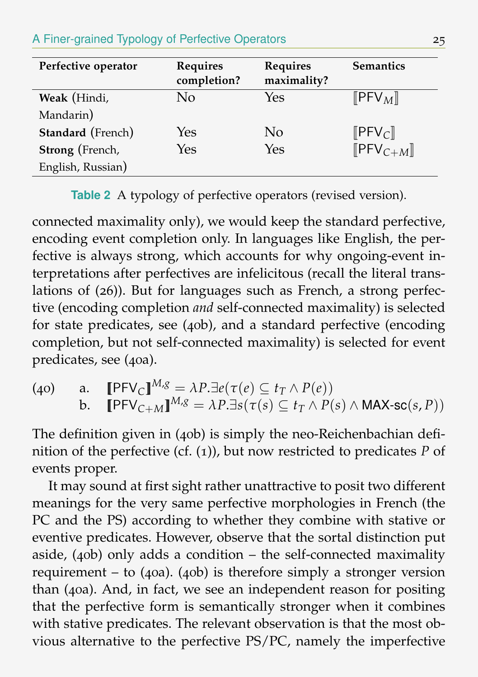#### A Finer-grained Typology of Perfective Operators 25

| Perfective operator      | <b>Requires</b><br>completion? | Requires<br>maximality? | <b>Semantics</b>                           |
|--------------------------|--------------------------------|-------------------------|--------------------------------------------|
| Weak (Hindi,             | No                             | Yes                     | $\llbracket$ PFV <sub>M</sub> $\rrbracket$ |
| Mandarin)                |                                |                         |                                            |
| <b>Standard</b> (French) | Yes                            | No                      | $[$ PFV $_{\text{C}}$ $]$                  |
| Strong (French,          | Yes                            | Yes                     | $[$ PFV $_{C+M}$ ]                         |
| English, Russian)        |                                |                         |                                            |

**Table 2** A typology of perfective operators (revised version).

connected maximality only), we would keep the standard perfective, encoding event completion only. In languages like English, the perfective is always strong, which accounts for why ongoing-event interpretations after perfectives are infelicitous (recall the literal translations of (26)). But for languages such as French, a strong perfective (encoding completion *and* self-connected maximality) is selected for state predicates, see (40b), and a standard perfective (encoding completion, but not self-connected maximality) is selected for event predicates, see (40a).

(40) a.  $[PFV_C]^{M,g} = \lambda P \cdot \exists e(\tau(e) \subseteq t_T \land P(e))$ b.  $[$ **PFV**<sub>C+M</sub> $]^{M,g} = \lambda P \cdot \exists s (\tau(s) \subseteq t_T \land P(s) \land \text{MAX-sc}(s, P))$ 

The definition given in (40b) is simply the neo-Reichenbachian definition of the perfective (cf. (1)), but now restricted to predicates *P* of events proper.

It may sound at first sight rather unattractive to posit two different meanings for the very same perfective morphologies in French (the PC and the PS) according to whether they combine with stative or eventive predicates. However, observe that the sortal distinction put aside,  $(40b)$  only adds a condition – the self-connected maximality requirement – to  $(40a)$ .  $(40b)$  is therefore simply a stronger version than (40a). And, in fact, we see an independent reason for positing that the perfective form is semantically stronger when it combines with stative predicates. The relevant observation is that the most obvious alternative to the perfective PS/PC, namely the imperfective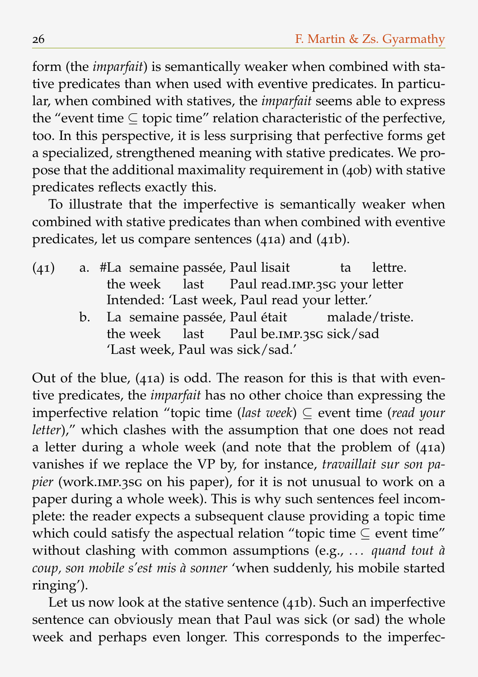form (the *imparfait*) is semantically weaker when combined with stative predicates than when used with eventive predicates. In particular, when combined with statives, the *imparfait* seems able to express the "event time  $\subset$  topic time" relation characteristic of the perfective, too. In this perspective, it is less surprising that perfective forms get a specialized, strengthened meaning with stative predicates. We propose that the additional maximality requirement in (40b) with stative predicates reflects exactly this.

To illustrate that the imperfective is semantically weaker when combined with stative predicates than when combined with eventive predicates, let us compare sentences (41a) and (41b).

- (41) a. #La semaine passée, Paul lisait the week last Paul read.imp.3sg your letter ta lettre. Intended: 'Last week, Paul read your letter.'
	- b. La semaine passée, Paul était the week last Paul be.imp.3sg sick/sad malade/triste. 'Last week, Paul was sick/sad.'

Out of the blue, (41a) is odd. The reason for this is that with eventive predicates, the *imparfait* has no other choice than expressing the imperfective relation "topic time (*last week*) ⊆ event time (*read your letter*)," which clashes with the assumption that one does not read a letter during a whole week (and note that the problem of (41a) vanishes if we replace the VP by, for instance, *travaillait sur son papier* (work.imp.3sg on his paper), for it is not unusual to work on a paper during a whole week). This is why such sentences feel incomplete: the reader expects a subsequent clause providing a topic time which could satisfy the aspectual relation "topic time ⊆ event time" without clashing with common assumptions (e.g., *. . . quand tout à coup, son mobile s'est mis à sonner* 'when suddenly, his mobile started ringing').

Let us now look at the stative sentence (41b). Such an imperfective sentence can obviously mean that Paul was sick (or sad) the whole week and perhaps even longer. This corresponds to the imperfec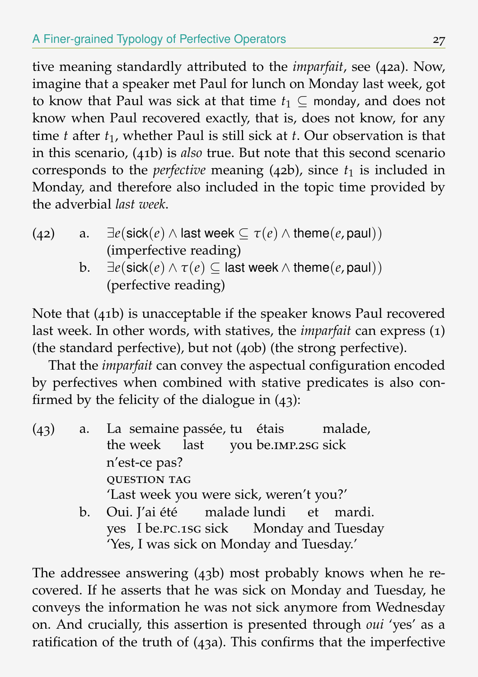tive meaning standardly attributed to the *imparfait*, see (42a). Now, imagine that a speaker met Paul for lunch on Monday last week, got to know that Paul was sick at that time  $t_1 \subseteq$  monday, and does not know when Paul recovered exactly, that is, does not know, for any time *t* after *t*1, whether Paul is still sick at *t*. Our observation is that in this scenario, (41b) is *also* true. But note that this second scenario corresponds to the *perfective* meaning  $(42b)$ , since  $t_1$  is included in Monday, and therefore also included in the topic time provided by the adverbial *last week*.

- (42) a.  $\exists e(\textsf{sick}(e) \land \textsf{last week} \subseteq \tau(e) \land \textsf{theme}(e,\textsf{paul}))$ (imperfective reading)
	- b.  $\exists e(\textsf{sick}(e) \land \tau(e) \subseteq \textsf{last week} \land \textsf{theme}(e, \textsf{paul}))$ (perfective reading)

Note that (41b) is unacceptable if the speaker knows Paul recovered last week. In other words, with statives, the *imparfait* can express (1) (the standard perfective), but not (40b) (the strong perfective).

That the *imparfait* can convey the aspectual configuration encoded by perfectives when combined with stative predicates is also confirmed by the felicity of the dialogue in (43):

- $(43)$  a. the week last you be.IMP.2SG sick semaine passée, tu étais malade, n'est-ce pas? **QUESTION TAG** 'Last week you were sick, weren't you?'
	- b. Oui. J'ai été malade lundi yes I be.pc.1sg sick Monday and Tuesday et mardi. 'Yes, I was sick on Monday and Tuesday.'

The addressee answering (43b) most probably knows when he recovered. If he asserts that he was sick on Monday and Tuesday, he conveys the information he was not sick anymore from Wednesday on. And crucially, this assertion is presented through *oui* 'yes' as a ratification of the truth of (43a). This confirms that the imperfective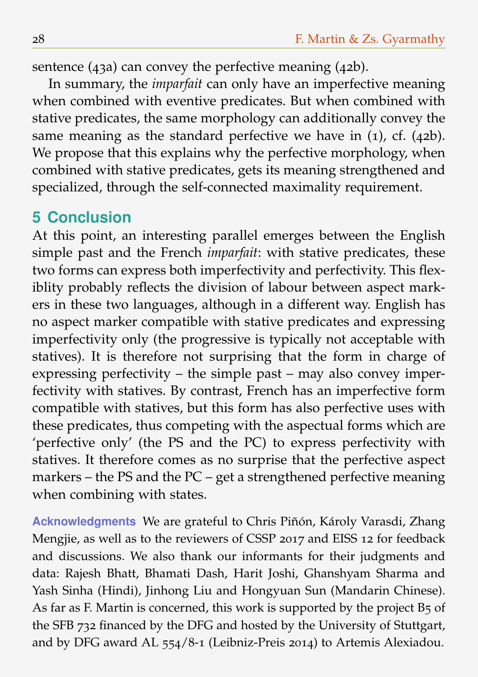sentence (43a) can convey the perfective meaning (42b).

In summary, the *imparfait* can only have an imperfective meaning when combined with eventive predicates. But when combined with stative predicates, the same morphology can additionally convey the same meaning as the standard perfective we have in (1), cf. (42b). We propose that this explains why the perfective morphology, when combined with stative predicates, gets its meaning strengthened and specialized, through the self-connected maximality requirement.

# **5 Conclusion**

At this point, an interesting parallel emerges between the English simple past and the French *imparfait*: with stative predicates, these two forms can express both imperfectivity and perfectivity. This flexiblity probably reflects the division of labour between aspect markers in these two languages, although in a different way. English has no aspect marker compatible with stative predicates and expressing imperfectivity only (the progressive is typically not acceptable with statives). It is therefore not surprising that the form in charge of expressing perfectivity – the simple past – may also convey imperfectivity with statives. By contrast, French has an imperfective form compatible with statives, but this form has also perfective uses with these predicates, thus competing with the aspectual forms which are 'perfective only' (the PS and the PC) to express perfectivity with statives. It therefore comes as no surprise that the perfective aspect markers – the PS and the PC – get a strengthened perfective meaning when combining with states.

**Acknowledgments** We are grateful to Chris Piñón, Károly Varasdi, Zhang Mengjie, as well as to the reviewers of CSSP 2017 and EISS 12 for feedback and discussions. We also thank our informants for their judgments and data: Rajesh Bhatt, Bhamati Dash, Harit Joshi, Ghanshyam Sharma and Yash Sinha (Hindi), Jinhong Liu and Hongyuan Sun (Mandarin Chinese). As far as F. Martin is concerned, this work is supported by the project B5 of the SFB 732 financed by the DFG and hosted by the University of Stuttgart, and by DFG award AL 554/8-1 (Leibniz-Preis 2014) to Artemis Alexiadou.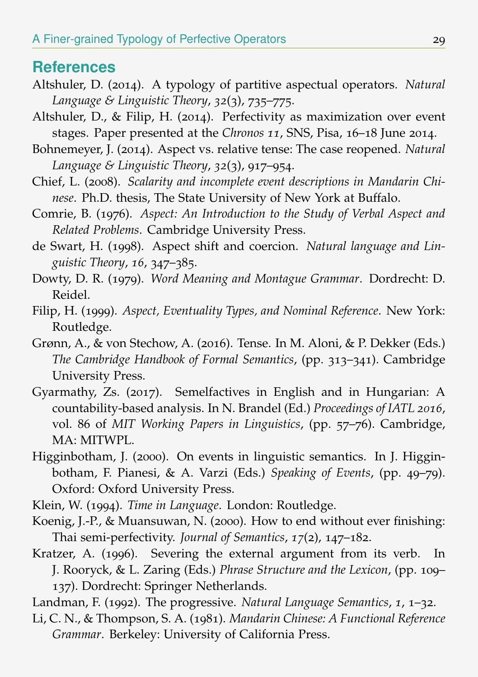### **References**

- Altshuler, D. (2014). A typology of partitive aspectual operators. *Natural Language & Linguistic Theory*, *32*(3), 735–775.
- Altshuler, D., & Filip, H. (2014). Perfectivity as maximization over event stages. Paper presented at the *Chronos 11*, SNS, Pisa, 16–18 June 2014.
- Bohnemeyer, J. (2014). Aspect vs. relative tense: The case reopened. *Natural Language & Linguistic Theory*, *32*(3), 917–954.
- Chief, L. (2008). *Scalarity and incomplete event descriptions in Mandarin Chinese*. Ph.D. thesis, The State University of New York at Buffalo.
- Comrie, B. (1976). *Aspect: An Introduction to the Study of Verbal Aspect and Related Problems*. Cambridge University Press.
- de Swart, H. (1998). Aspect shift and coercion. *Natural language and Linguistic Theory*, *16*, 347–385.
- Dowty, D. R. (1979). *Word Meaning and Montague Grammar*. Dordrecht: D. Reidel.
- Filip, H. (1999). *Aspect, Eventuality Types, and Nominal Reference*. New York: Routledge.
- Grønn, A., & von Stechow, A. (2016). Tense. In M. Aloni, & P. Dekker (Eds.) *The Cambridge Handbook of Formal Semantics*, (pp. 313–341). Cambridge University Press.
- Gyarmathy, Zs. (2017). Semelfactives in English and in Hungarian: A countability-based analysis. In N. Brandel (Ed.) *Proceedings of IATL 2016*, vol. 86 of *MIT Working Papers in Linguistics*, (pp. 57–76). Cambridge, MA: MITWPL.
- Higginbotham, J. (2000). On events in linguistic semantics. In J. Higginbotham, F. Pianesi, & A. Varzi (Eds.) *Speaking of Events*, (pp. 49–79). Oxford: Oxford University Press.
- Klein, W. (1994). *Time in Language*. London: Routledge.
- Koenig, J.-P., & Muansuwan, N. (2000). How to end without ever finishing: Thai semi-perfectivity. *Journal of Semantics*, *17*(2), 147–182.
- Kratzer, A. (1996). Severing the external argument from its verb. In J. Rooryck, & L. Zaring (Eds.) *Phrase Structure and the Lexicon*, (pp. 109– 137). Dordrecht: Springer Netherlands.

Landman, F. (1992). The progressive. *Natural Language Semantics*, *1*, 1–32.

Li, C. N., & Thompson, S. A. (1981). *Mandarin Chinese: A Functional Reference Grammar*. Berkeley: University of California Press.